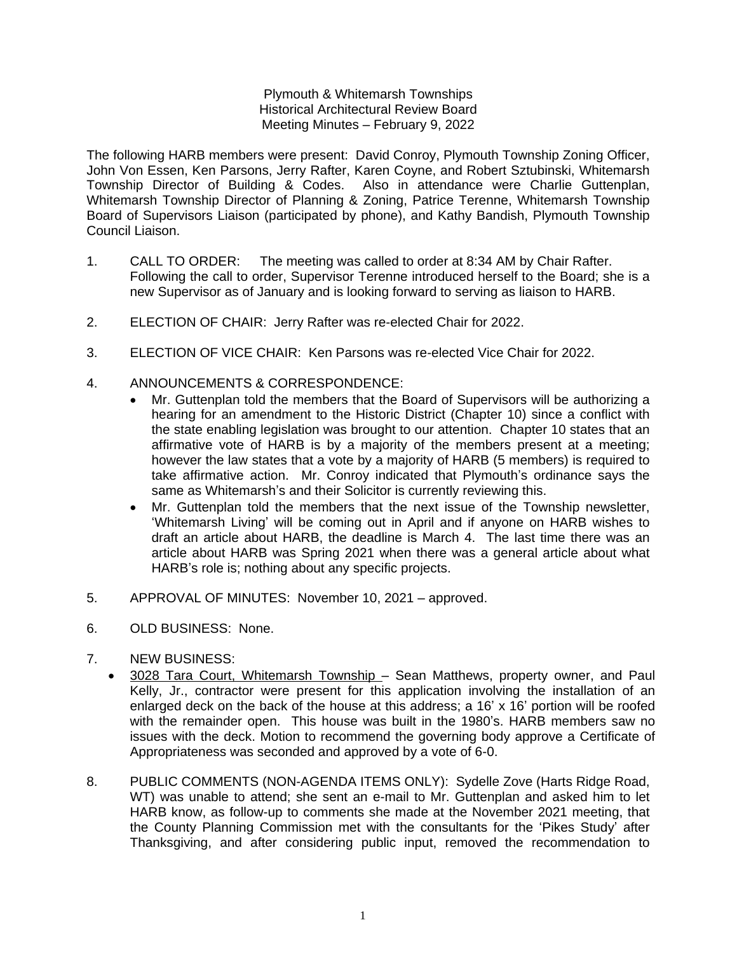## Plymouth & Whitemarsh Townships Historical Architectural Review Board Meeting Minutes – February 9, 2022

The following HARB members were present: David Conroy, Plymouth Township Zoning Officer, John Von Essen, Ken Parsons, Jerry Rafter, Karen Coyne, and Robert Sztubinski, Whitemarsh Township Director of Building & Codes. Also in attendance were Charlie Guttenplan, Whitemarsh Township Director of Planning & Zoning, Patrice Terenne, Whitemarsh Township Board of Supervisors Liaison (participated by phone), and Kathy Bandish, Plymouth Township Council Liaison.

- 1. CALL TO ORDER: The meeting was called to order at 8:34 AM by Chair Rafter. Following the call to order, Supervisor Terenne introduced herself to the Board; she is a new Supervisor as of January and is looking forward to serving as liaison to HARB.
- 2. ELECTION OF CHAIR: Jerry Rafter was re-elected Chair for 2022.
- 3. ELECTION OF VICE CHAIR: Ken Parsons was re-elected Vice Chair for 2022.
- 4. ANNOUNCEMENTS & CORRESPONDENCE:
	- Mr. Guttenplan told the members that the Board of Supervisors will be authorizing a hearing for an amendment to the Historic District (Chapter 10) since a conflict with the state enabling legislation was brought to our attention. Chapter 10 states that an affirmative vote of HARB is by a majority of the members present at a meeting; however the law states that a vote by a majority of HARB (5 members) is required to take affirmative action. Mr. Conroy indicated that Plymouth's ordinance says the same as Whitemarsh's and their Solicitor is currently reviewing this.
	- Mr. Guttenplan told the members that the next issue of the Township newsletter, 'Whitemarsh Living' will be coming out in April and if anyone on HARB wishes to draft an article about HARB, the deadline is March 4. The last time there was an article about HARB was Spring 2021 when there was a general article about what HARB's role is; nothing about any specific projects.
- 5. APPROVAL OF MINUTES: November 10, 2021 approved.
- 6. OLD BUSINESS: None.
- 7. NEW BUSINESS:
	- 3028 Tara Court, Whitemarsh Township Sean Matthews, property owner, and Paul Kelly, Jr., contractor were present for this application involving the installation of an enlarged deck on the back of the house at this address; a  $16'$  x  $16'$  portion will be roofed with the remainder open. This house was built in the 1980's. HARB members saw no issues with the deck. Motion to recommend the governing body approve a Certificate of Appropriateness was seconded and approved by a vote of 6-0.
- 8. PUBLIC COMMENTS (NON-AGENDA ITEMS ONLY): Sydelle Zove (Harts Ridge Road, WT) was unable to attend; she sent an e-mail to Mr. Guttenplan and asked him to let HARB know, as follow-up to comments she made at the November 2021 meeting, that the County Planning Commission met with the consultants for the 'Pikes Study' after Thanksgiving, and after considering public input, removed the recommendation to